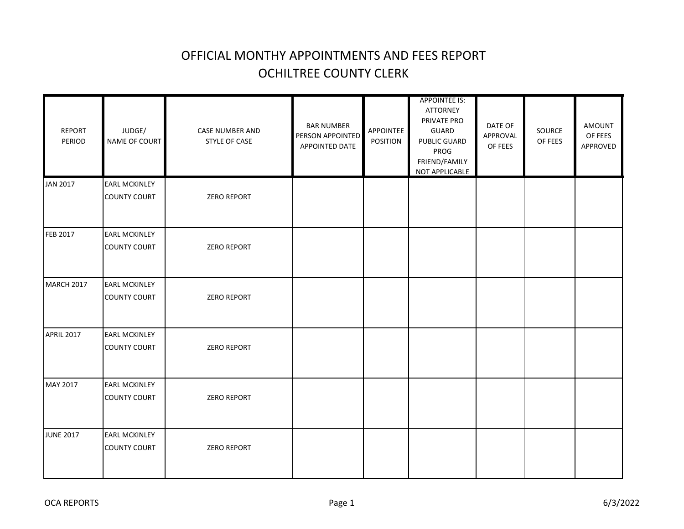## OFFICIAL MONTHY APPOINTMENTS AND FEES REPORT OCHILTREE COUNTY CLERK

| <b>REPORT</b><br>PERIOD | JUDGE/<br>NAME OF COURT                     | <b>CASE NUMBER AND</b><br>STYLE OF CASE | <b>BAR NUMBER</b><br>PERSON APPOINTED<br>APPOINTED DATE | <b>APPOINTEE</b><br><b>POSITION</b> | <b>APPOINTEE IS:</b><br><b>ATTORNEY</b><br>PRIVATE PRO<br><b>GUARD</b><br><b>PUBLIC GUARD</b><br>PROG<br>FRIEND/FAMILY<br>NOT APPLICABLE | DATE OF<br>APPROVAL<br>OF FEES | SOURCE<br>OF FEES | <b>AMOUNT</b><br>OF FEES<br>APPROVED |
|-------------------------|---------------------------------------------|-----------------------------------------|---------------------------------------------------------|-------------------------------------|------------------------------------------------------------------------------------------------------------------------------------------|--------------------------------|-------------------|--------------------------------------|
| <b>JAN 2017</b>         | <b>EARL MCKINLEY</b><br><b>COUNTY COURT</b> | <b>ZERO REPORT</b>                      |                                                         |                                     |                                                                                                                                          |                                |                   |                                      |
| <b>FEB 2017</b>         | <b>EARL MCKINLEY</b><br><b>COUNTY COURT</b> | <b>ZERO REPORT</b>                      |                                                         |                                     |                                                                                                                                          |                                |                   |                                      |
| <b>MARCH 2017</b>       | <b>EARL MCKINLEY</b><br><b>COUNTY COURT</b> | <b>ZERO REPORT</b>                      |                                                         |                                     |                                                                                                                                          |                                |                   |                                      |
| <b>APRIL 2017</b>       | <b>EARL MCKINLEY</b><br><b>COUNTY COURT</b> | <b>ZERO REPORT</b>                      |                                                         |                                     |                                                                                                                                          |                                |                   |                                      |
| MAY 2017                | <b>EARL MCKINLEY</b><br><b>COUNTY COURT</b> | <b>ZERO REPORT</b>                      |                                                         |                                     |                                                                                                                                          |                                |                   |                                      |
| <b>JUNE 2017</b>        | <b>EARL MCKINLEY</b><br><b>COUNTY COURT</b> | <b>ZERO REPORT</b>                      |                                                         |                                     |                                                                                                                                          |                                |                   |                                      |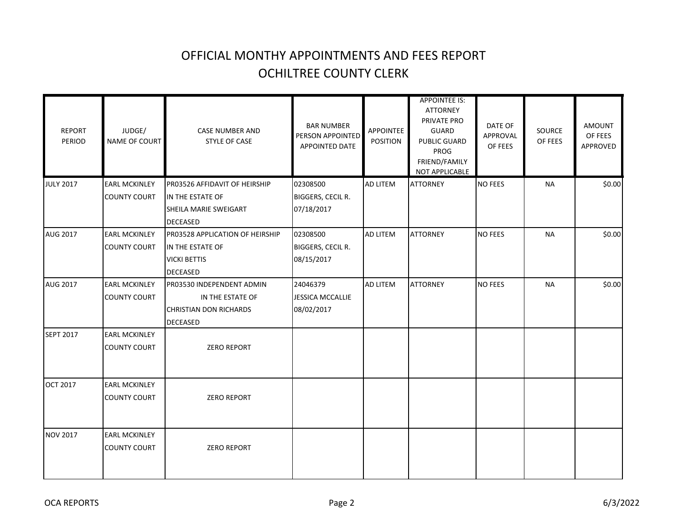## OFFICIAL MONTHY APPOINTMENTS AND FEES REPORT OCHILTREE COUNTY CLERK

| <b>REPORT</b><br>PERIOD | JUDGE/<br>NAME OF COURT | <b>CASE NUMBER AND</b><br>STYLE OF CASE | <b>BAR NUMBER</b><br>PERSON APPOINTED<br><b>APPOINTED DATE</b> | APPOINTEE<br><b>POSITION</b> | <b>APPOINTEE IS:</b><br><b>ATTORNEY</b><br>PRIVATE PRO<br><b>GUARD</b><br><b>PUBLIC GUARD</b><br>PROG<br>FRIEND/FAMILY<br>NOT APPLICABLE | DATE OF<br>APPROVAL<br>OF FEES | SOURCE<br>OF FEES | <b>AMOUNT</b><br>OF FEES<br>APPROVED |
|-------------------------|-------------------------|-----------------------------------------|----------------------------------------------------------------|------------------------------|------------------------------------------------------------------------------------------------------------------------------------------|--------------------------------|-------------------|--------------------------------------|
| <b>JULY 2017</b>        | <b>EARL MCKINLEY</b>    | PR03526 AFFIDAVIT OF HEIRSHIP           | 02308500                                                       | <b>AD LITEM</b>              | <b>ATTORNEY</b>                                                                                                                          | <b>NO FEES</b>                 | <b>NA</b>         | \$0.00                               |
|                         | <b>COUNTY COURT</b>     | IN THE ESTATE OF                        | <b>BIGGERS, CECIL R.</b>                                       |                              |                                                                                                                                          |                                |                   |                                      |
|                         |                         | SHEILA MARIE SWEIGART                   | 07/18/2017                                                     |                              |                                                                                                                                          |                                |                   |                                      |
|                         |                         | <b>DECEASED</b>                         |                                                                |                              |                                                                                                                                          |                                |                   |                                      |
| <b>AUG 2017</b>         | <b>EARL MCKINLEY</b>    | PR03528 APPLICATION OF HEIRSHIP         | 02308500                                                       | <b>AD LITEM</b>              | <b>ATTORNEY</b>                                                                                                                          | <b>NO FEES</b>                 | <b>NA</b>         | \$0.00                               |
|                         | <b>COUNTY COURT</b>     | IN THE ESTATE OF                        | <b>BIGGERS, CECIL R.</b>                                       |                              |                                                                                                                                          |                                |                   |                                      |
|                         |                         | <b>VICKI BETTIS</b>                     | 08/15/2017                                                     |                              |                                                                                                                                          |                                |                   |                                      |
|                         |                         | <b>DECEASED</b>                         |                                                                |                              |                                                                                                                                          |                                |                   |                                      |
| <b>AUG 2017</b>         | <b>EARL MCKINLEY</b>    | PR03530 INDEPENDENT ADMIN               | 24046379                                                       | AD LITEM                     | <b>ATTORNEY</b>                                                                                                                          | <b>NO FEES</b>                 | <b>NA</b>         | \$0.00                               |
|                         | <b>COUNTY COURT</b>     | IN THE ESTATE OF                        | JESSICA MCCALLIE                                               |                              |                                                                                                                                          |                                |                   |                                      |
|                         |                         | <b>CHRISTIAN DON RICHARDS</b>           | 08/02/2017                                                     |                              |                                                                                                                                          |                                |                   |                                      |
|                         |                         | <b>DECEASED</b>                         |                                                                |                              |                                                                                                                                          |                                |                   |                                      |
| <b>SEPT 2017</b>        | <b>EARL MCKINLEY</b>    |                                         |                                                                |                              |                                                                                                                                          |                                |                   |                                      |
|                         | <b>COUNTY COURT</b>     | <b>ZERO REPORT</b>                      |                                                                |                              |                                                                                                                                          |                                |                   |                                      |
|                         |                         |                                         |                                                                |                              |                                                                                                                                          |                                |                   |                                      |
| <b>OCT 2017</b>         | <b>EARL MCKINLEY</b>    |                                         |                                                                |                              |                                                                                                                                          |                                |                   |                                      |
|                         | <b>COUNTY COURT</b>     | <b>ZERO REPORT</b>                      |                                                                |                              |                                                                                                                                          |                                |                   |                                      |
|                         |                         |                                         |                                                                |                              |                                                                                                                                          |                                |                   |                                      |
| <b>NOV 2017</b>         | <b>EARL MCKINLEY</b>    |                                         |                                                                |                              |                                                                                                                                          |                                |                   |                                      |
|                         | <b>COUNTY COURT</b>     | <b>ZERO REPORT</b>                      |                                                                |                              |                                                                                                                                          |                                |                   |                                      |
|                         |                         |                                         |                                                                |                              |                                                                                                                                          |                                |                   |                                      |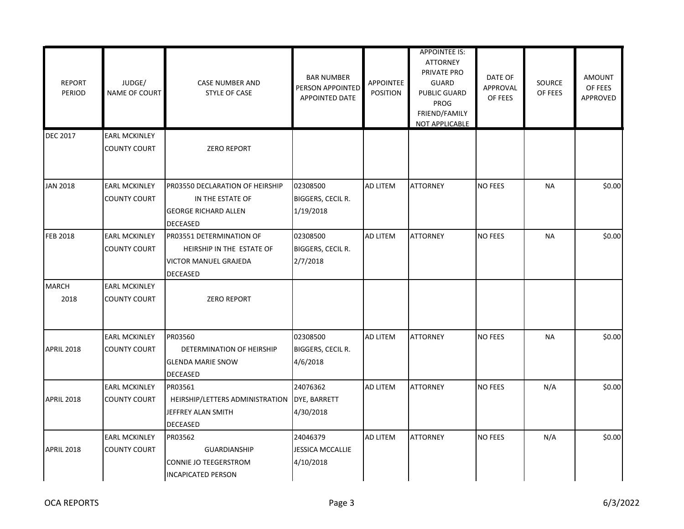| <b>REPORT</b><br>PERIOD | JUDGE/<br>NAME OF COURT                     | <b>CASE NUMBER AND</b><br>STYLE OF CASE                                                               | <b>BAR NUMBER</b><br>PERSON APPOINTED<br><b>APPOINTED DATE</b> | APPOINTEE<br><b>POSITION</b> | <b>APPOINTEE IS:</b><br><b>ATTORNEY</b><br>PRIVATE PRO<br><b>GUARD</b><br><b>PUBLIC GUARD</b><br><b>PROG</b><br>FRIEND/FAMILY<br>NOT APPLICABLE | DATE OF<br>APPROVAL<br>OF FEES | SOURCE<br>OF FEES | <b>AMOUNT</b><br>OF FEES<br>APPROVED |
|-------------------------|---------------------------------------------|-------------------------------------------------------------------------------------------------------|----------------------------------------------------------------|------------------------------|-------------------------------------------------------------------------------------------------------------------------------------------------|--------------------------------|-------------------|--------------------------------------|
| <b>DEC 2017</b>         | <b>EARL MCKINLEY</b><br><b>COUNTY COURT</b> | <b>ZERO REPORT</b>                                                                                    |                                                                |                              |                                                                                                                                                 |                                |                   |                                      |
| <b>JAN 2018</b>         | <b>EARL MCKINLEY</b><br><b>COUNTY COURT</b> | PR03550 DECLARATION OF HEIRSHIP<br>IN THE ESTATE OF<br><b>GEORGE RICHARD ALLEN</b><br><b>DECEASED</b> | 02308500<br><b>BIGGERS, CECIL R.</b><br>1/19/2018              | AD LITEM                     | <b>ATTORNEY</b>                                                                                                                                 | <b>NO FEES</b>                 | <b>NA</b>         | \$0.00                               |
| <b>FEB 2018</b>         | <b>EARL MCKINLEY</b><br><b>COUNTY COURT</b> | PR03551 DETERMINATION OF<br>HEIRSHIP IN THE ESTATE OF<br>VICTOR MANUEL GRAJEDA<br><b>DECEASED</b>     | 02308500<br><b>BIGGERS, CECIL R.</b><br>2/7/2018               | AD LITEM                     | <b>ATTORNEY</b>                                                                                                                                 | <b>NO FEES</b>                 | <b>NA</b>         | \$0.00                               |
| <b>MARCH</b><br>2018    | <b>EARL MCKINLEY</b><br><b>COUNTY COURT</b> | <b>ZERO REPORT</b>                                                                                    |                                                                |                              |                                                                                                                                                 |                                |                   |                                      |
| <b>APRIL 2018</b>       | <b>EARL MCKINLEY</b><br><b>COUNTY COURT</b> | PR03560<br>DETERMINATION OF HEIRSHIP<br><b>GLENDA MARIE SNOW</b><br><b>DECEASED</b>                   | 02308500<br><b>BIGGERS, CECIL R.</b><br>4/6/2018               | AD LITEM                     | <b>ATTORNEY</b>                                                                                                                                 | <b>NO FEES</b>                 | <b>NA</b>         | \$0.00                               |
| <b>APRIL 2018</b>       | <b>EARL MCKINLEY</b><br><b>COUNTY COURT</b> | PR03561<br>HEIRSHIP/LETTERS ADMINISTRATION<br>JEFFREY ALAN SMITH<br>DECEASED                          | 24076362<br>DYE, BARRETT<br>4/30/2018                          | AD LITEM                     | <b>ATTORNEY</b>                                                                                                                                 | <b>NO FEES</b>                 | N/A               | \$0.00                               |
| <b>APRIL 2018</b>       | <b>EARL MCKINLEY</b><br><b>COUNTY COURT</b> | PR03562<br><b>GUARDIANSHIP</b><br>CONNIE JO TEEGERSTROM<br><b>INCAPICATED PERSON</b>                  | 24046379<br><b>JESSICA MCCALLIE</b><br>4/10/2018               | AD LITEM                     | <b>ATTORNEY</b>                                                                                                                                 | <b>NO FEES</b>                 | N/A               | \$0.00                               |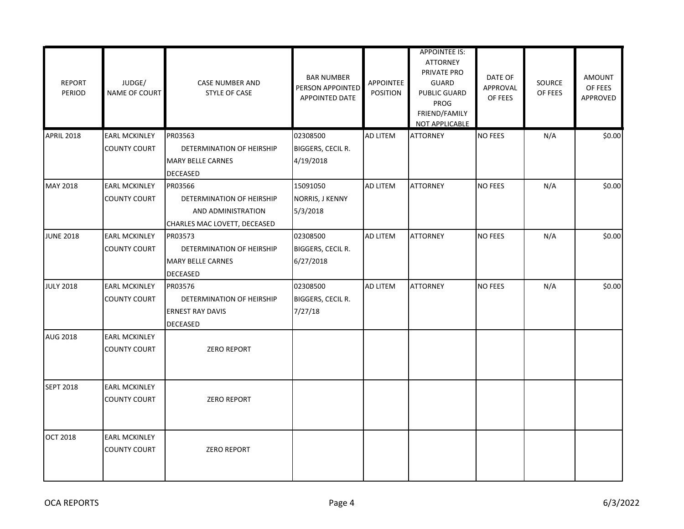| <b>REPORT</b><br><b>PERIOD</b> | JUDGE/<br>NAME OF COURT                     | <b>CASE NUMBER AND</b><br><b>STYLE OF CASE</b>                                             | <b>BAR NUMBER</b><br>PERSON APPOINTED<br>APPOINTED DATE | APPOINTEE<br><b>POSITION</b> | <b>APPOINTEE IS:</b><br><b>ATTORNEY</b><br>PRIVATE PRO<br><b>GUARD</b><br><b>PUBLIC GUARD</b><br>PROG<br>FRIEND/FAMILY<br>NOT APPLICABLE | DATE OF<br>APPROVAL<br>OF FEES | SOURCE<br>OF FEES | <b>AMOUNT</b><br>OF FEES<br>APPROVED |
|--------------------------------|---------------------------------------------|--------------------------------------------------------------------------------------------|---------------------------------------------------------|------------------------------|------------------------------------------------------------------------------------------------------------------------------------------|--------------------------------|-------------------|--------------------------------------|
| <b>APRIL 2018</b>              | <b>EARL MCKINLEY</b>                        | PR03563                                                                                    | 02308500                                                | AD LITEM                     | <b>ATTORNEY</b>                                                                                                                          | <b>NO FEES</b>                 | N/A               | \$0.00                               |
|                                | <b>COUNTY COURT</b>                         | DETERMINATION OF HEIRSHIP<br>MARY BELLE CARNES<br><b>DECEASED</b>                          | <b>BIGGERS, CECIL R.</b><br>4/19/2018                   |                              |                                                                                                                                          |                                |                   |                                      |
| MAY 2018                       | <b>EARL MCKINLEY</b><br><b>COUNTY COURT</b> | PR03566<br>DETERMINATION OF HEIRSHIP<br>AND ADMINISTRATION<br>CHARLES MAC LOVETT, DECEASED | 15091050<br>NORRIS, J KENNY<br>5/3/2018                 | AD LITEM                     | <b>ATTORNEY</b>                                                                                                                          | <b>NO FEES</b>                 | N/A               | \$0.00                               |
| <b>JUNE 2018</b>               | <b>EARL MCKINLEY</b><br><b>COUNTY COURT</b> | PR03573<br>DETERMINATION OF HEIRSHIP<br><b>MARY BELLE CARNES</b><br><b>DECEASED</b>        | 02308500<br><b>BIGGERS, CECIL R.</b><br>6/27/2018       | AD LITEM                     | <b>ATTORNEY</b>                                                                                                                          | <b>NO FEES</b>                 | N/A               | \$0.00                               |
| <b>JULY 2018</b>               | <b>EARL MCKINLEY</b><br><b>COUNTY COURT</b> | PR03576<br>DETERMINATION OF HEIRSHIP<br><b>ERNEST RAY DAVIS</b><br>DECEASED                | 02308500<br><b>BIGGERS, CECIL R.</b><br>7/27/18         | AD LITEM                     | <b>ATTORNEY</b>                                                                                                                          | <b>NO FEES</b>                 | N/A               | \$0.00                               |
| <b>AUG 2018</b>                | <b>EARL MCKINLEY</b><br><b>COUNTY COURT</b> | <b>ZERO REPORT</b>                                                                         |                                                         |                              |                                                                                                                                          |                                |                   |                                      |
| <b>SEPT 2018</b>               | <b>EARL MCKINLEY</b><br><b>COUNTY COURT</b> | <b>ZERO REPORT</b>                                                                         |                                                         |                              |                                                                                                                                          |                                |                   |                                      |
| <b>OCT 2018</b>                | <b>EARL MCKINLEY</b><br><b>COUNTY COURT</b> | <b>ZERO REPORT</b>                                                                         |                                                         |                              |                                                                                                                                          |                                |                   |                                      |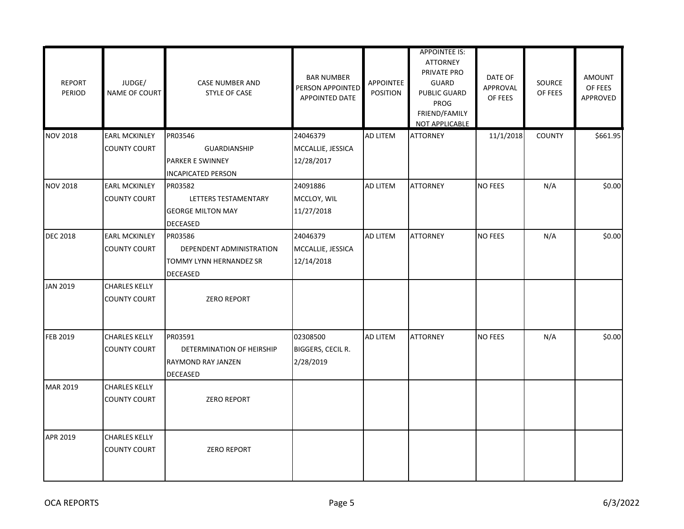| <b>REPORT</b><br><b>PERIOD</b> | JUDGE/<br>NAME OF COURT                     | <b>CASE NUMBER AND</b><br>STYLE OF CASE                                           | <b>BAR NUMBER</b><br>PERSON APPOINTED<br><b>APPOINTED DATE</b> | APPOINTEE<br><b>POSITION</b> | <b>APPOINTEE IS:</b><br><b>ATTORNEY</b><br>PRIVATE PRO<br><b>GUARD</b><br>PUBLIC GUARD<br>PROG<br>FRIEND/FAMILY<br>NOT APPLICABLE | DATE OF<br>APPROVAL<br>OF FEES | SOURCE<br>OF FEES | <b>AMOUNT</b><br>OF FEES<br>APPROVED |
|--------------------------------|---------------------------------------------|-----------------------------------------------------------------------------------|----------------------------------------------------------------|------------------------------|-----------------------------------------------------------------------------------------------------------------------------------|--------------------------------|-------------------|--------------------------------------|
| <b>NOV 2018</b>                | <b>EARL MCKINLEY</b>                        | PR03546                                                                           | 24046379                                                       | AD LITEM                     | <b>ATTORNEY</b>                                                                                                                   | 11/1/2018                      | <b>COUNTY</b>     | \$661.95                             |
|                                | <b>COUNTY COURT</b>                         | <b>GUARDIANSHIP</b><br>PARKER E SWINNEY<br><b>INCAPICATED PERSON</b>              | MCCALLIE, JESSICA<br>12/28/2017                                |                              |                                                                                                                                   |                                |                   |                                      |
| <b>NOV 2018</b>                | <b>EARL MCKINLEY</b><br><b>COUNTY COURT</b> | PR03582<br>LETTERS TESTAMENTARY<br><b>GEORGE MILTON MAY</b><br>DECEASED           | 24091886<br>MCCLOY, WIL<br>11/27/2018                          | AD LITEM                     | <b>ATTORNEY</b>                                                                                                                   | <b>NO FEES</b>                 | N/A               | \$0.00                               |
| <b>DEC 2018</b>                | <b>EARL MCKINLEY</b><br><b>COUNTY COURT</b> | PR03586<br>DEPENDENT ADMINISTRATION<br>TOMMY LYNN HERNANDEZ SR<br><b>DECEASED</b> | 24046379<br>MCCALLIE, JESSICA<br>12/14/2018                    | <b>AD LITEM</b>              | <b>ATTORNEY</b>                                                                                                                   | <b>NO FEES</b>                 | N/A               | \$0.00                               |
| <b>JAN 2019</b>                | <b>CHARLES KELLY</b><br><b>COUNTY COURT</b> | <b>ZERO REPORT</b>                                                                |                                                                |                              |                                                                                                                                   |                                |                   |                                      |
| <b>FEB 2019</b>                | <b>CHARLES KELLY</b><br><b>COUNTY COURT</b> | PR03591<br>DETERMINATION OF HEIRSHIP<br>RAYMOND RAY JANZEN<br>DECEASED            | 02308500<br>BIGGERS, CECIL R.<br>2/28/2019                     | AD LITEM                     | <b>ATTORNEY</b>                                                                                                                   | <b>NO FEES</b>                 | N/A               | \$0.00                               |
| MAR 2019                       | <b>CHARLES KELLY</b><br><b>COUNTY COURT</b> | <b>ZERO REPORT</b>                                                                |                                                                |                              |                                                                                                                                   |                                |                   |                                      |
| APR 2019                       | <b>CHARLES KELLY</b><br><b>COUNTY COURT</b> | <b>ZERO REPORT</b>                                                                |                                                                |                              |                                                                                                                                   |                                |                   |                                      |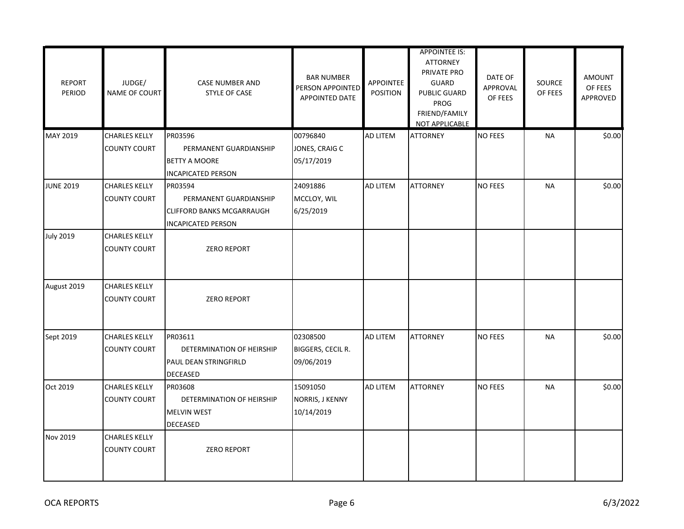| <b>REPORT</b><br>PERIOD | JUDGE/<br>NAME OF COURT                     | <b>CASE NUMBER AND</b><br><b>STYLE OF CASE</b>                                                     | <b>BAR NUMBER</b><br>PERSON APPOINTED<br>APPOINTED DATE | APPOINTEE<br><b>POSITION</b> | <b>APPOINTEE IS:</b><br><b>ATTORNEY</b><br>PRIVATE PRO<br><b>GUARD</b><br><b>PUBLIC GUARD</b><br>PROG<br>FRIEND/FAMILY<br>NOT APPLICABLE | DATE OF<br>APPROVAL<br>OF FEES | SOURCE<br>OF FEES | <b>AMOUNT</b><br>OF FEES<br>APPROVED |
|-------------------------|---------------------------------------------|----------------------------------------------------------------------------------------------------|---------------------------------------------------------|------------------------------|------------------------------------------------------------------------------------------------------------------------------------------|--------------------------------|-------------------|--------------------------------------|
| MAY 2019                | <b>CHARLES KELLY</b><br><b>COUNTY COURT</b> | PR03596<br>PERMANENT GUARDIANSHIP<br><b>BETTY A MOORE</b><br><b>INCAPICATED PERSON</b>             | 00796840<br>JONES, CRAIG C<br>05/17/2019                | AD LITEM                     | <b>ATTORNEY</b>                                                                                                                          | <b>NO FEES</b>                 | <b>NA</b>         | \$0.00                               |
| <b>JUNE 2019</b>        | <b>CHARLES KELLY</b><br><b>COUNTY COURT</b> | PR03594<br>PERMANENT GUARDIANSHIP<br><b>CLIFFORD BANKS MCGARRAUGH</b><br><b>INCAPICATED PERSON</b> | 24091886<br>MCCLOY, WIL<br>6/25/2019                    | AD LITEM                     | <b>ATTORNEY</b>                                                                                                                          | <b>NO FEES</b>                 | <b>NA</b>         | \$0.00                               |
| <b>July 2019</b>        | <b>CHARLES KELLY</b><br><b>COUNTY COURT</b> | <b>ZERO REPORT</b>                                                                                 |                                                         |                              |                                                                                                                                          |                                |                   |                                      |
| August 2019             | <b>CHARLES KELLY</b><br><b>COUNTY COURT</b> | <b>ZERO REPORT</b>                                                                                 |                                                         |                              |                                                                                                                                          |                                |                   |                                      |
| Sept 2019               | <b>CHARLES KELLY</b><br><b>COUNTY COURT</b> | PR03611<br>DETERMINATION OF HEIRSHIP<br>PAUL DEAN STRINGFIRLD<br><b>DECEASED</b>                   | 02308500<br><b>BIGGERS, CECIL R.</b><br>09/06/2019      | AD LITEM                     | <b>ATTORNEY</b>                                                                                                                          | <b>NO FEES</b>                 | <b>NA</b>         | \$0.00                               |
| Oct 2019                | <b>CHARLES KELLY</b><br><b>COUNTY COURT</b> | PR03608<br>DETERMINATION OF HEIRSHIP<br><b>MELVIN WEST</b><br><b>DECEASED</b>                      | 15091050<br>NORRIS, J KENNY<br>10/14/2019               | AD LITEM                     | <b>ATTORNEY</b>                                                                                                                          | <b>NO FEES</b>                 | <b>NA</b>         | \$0.00                               |
| Nov 2019                | <b>CHARLES KELLY</b><br><b>COUNTY COURT</b> | <b>ZERO REPORT</b>                                                                                 |                                                         |                              |                                                                                                                                          |                                |                   |                                      |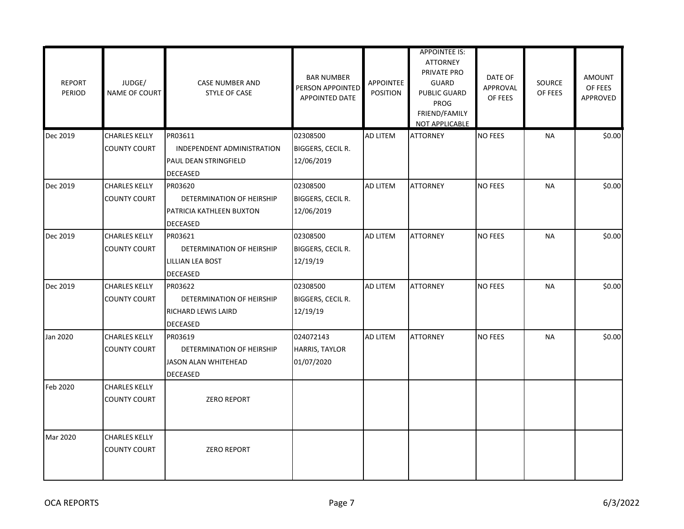| <b>REPORT</b><br>PERIOD | JUDGE/<br>NAME OF COURT                     | <b>CASE NUMBER AND</b><br><b>STYLE OF CASE</b>                                      | <b>BAR NUMBER</b><br>PERSON APPOINTED<br>APPOINTED DATE | APPOINTEE<br><b>POSITION</b> | <b>APPOINTEE IS:</b><br><b>ATTORNEY</b><br>PRIVATE PRO<br><b>GUARD</b><br><b>PUBLIC GUARD</b><br><b>PROG</b><br>FRIEND/FAMILY<br>NOT APPLICABLE | DATE OF<br>APPROVAL<br>OF FEES | SOURCE<br>OF FEES | <b>AMOUNT</b><br>OF FEES<br>APPROVED |
|-------------------------|---------------------------------------------|-------------------------------------------------------------------------------------|---------------------------------------------------------|------------------------------|-------------------------------------------------------------------------------------------------------------------------------------------------|--------------------------------|-------------------|--------------------------------------|
| Dec 2019                | <b>CHARLES KELLY</b>                        | PR03611                                                                             | 02308500                                                | AD LITEM                     | <b>ATTORNEY</b>                                                                                                                                 | <b>NO FEES</b>                 | <b>NA</b>         | \$0.00                               |
|                         | <b>COUNTY COURT</b>                         | INDEPENDENT ADMINISTRATION<br>PAUL DEAN STRINGFIELD<br><b>DECEASED</b>              | <b>BIGGERS, CECIL R.</b><br>12/06/2019                  |                              |                                                                                                                                                 |                                |                   |                                      |
| Dec 2019                | <b>CHARLES KELLY</b><br><b>COUNTY COURT</b> | PR03620<br>DETERMINATION OF HEIRSHIP<br>PATRICIA KATHLEEN BUXTON<br><b>DECEASED</b> | 02308500<br><b>BIGGERS, CECIL R.</b><br>12/06/2019      | AD LITEM                     | <b>ATTORNEY</b>                                                                                                                                 | <b>NO FEES</b>                 | <b>NA</b>         | \$0.00                               |
| Dec 2019                | <b>CHARLES KELLY</b><br><b>COUNTY COURT</b> | PR03621<br>DETERMINATION OF HEIRSHIP<br>LILLIAN LEA BOST<br><b>DECEASED</b>         | 02308500<br><b>BIGGERS, CECIL R.</b><br>12/19/19        | AD LITEM                     | <b>ATTORNEY</b>                                                                                                                                 | <b>NO FEES</b>                 | <b>NA</b>         | \$0.00                               |
| Dec 2019                | <b>CHARLES KELLY</b><br><b>COUNTY COURT</b> | PR03622<br>DETERMINATION OF HEIRSHIP<br>RICHARD LEWIS LAIRD<br><b>DECEASED</b>      | 02308500<br><b>BIGGERS, CECIL R.</b><br>12/19/19        | AD LITEM                     | <b>ATTORNEY</b>                                                                                                                                 | <b>NO FEES</b>                 | <b>NA</b>         | \$0.00                               |
| Jan 2020                | <b>CHARLES KELLY</b><br><b>COUNTY COURT</b> | PR03619<br>DETERMINATION OF HEIRSHIP<br>JASON ALAN WHITEHEAD<br><b>DECEASED</b>     | 024072143<br>HARRIS, TAYLOR<br>01/07/2020               | AD LITEM                     | <b>ATTORNEY</b>                                                                                                                                 | <b>NO FEES</b>                 | <b>NA</b>         | \$0.00                               |
| Feb 2020                | <b>CHARLES KELLY</b><br><b>COUNTY COURT</b> | <b>ZERO REPORT</b>                                                                  |                                                         |                              |                                                                                                                                                 |                                |                   |                                      |
| Mar 2020                | <b>CHARLES KELLY</b><br><b>COUNTY COURT</b> | <b>ZERO REPORT</b>                                                                  |                                                         |                              |                                                                                                                                                 |                                |                   |                                      |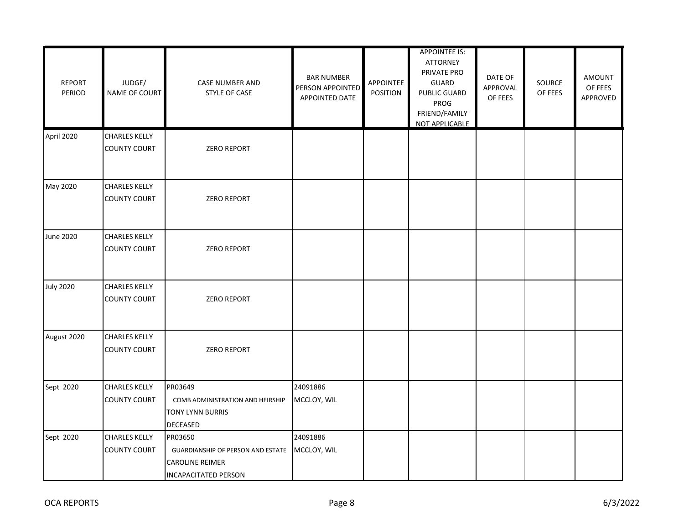| <b>REPORT</b><br>PERIOD | JUDGE/<br>NAME OF COURT                     | CASE NUMBER AND<br>STYLE OF CASE                                                                      | <b>BAR NUMBER</b><br>PERSON APPOINTED<br>APPOINTED DATE | <b>APPOINTEE</b><br><b>POSITION</b> | <b>APPOINTEE IS:</b><br><b>ATTORNEY</b><br>PRIVATE PRO<br>GUARD<br><b>PUBLIC GUARD</b><br>PROG<br>FRIEND/FAMILY<br>NOT APPLICABLE | DATE OF<br>APPROVAL<br>OF FEES | SOURCE<br>OF FEES | <b>AMOUNT</b><br>OF FEES<br>APPROVED |
|-------------------------|---------------------------------------------|-------------------------------------------------------------------------------------------------------|---------------------------------------------------------|-------------------------------------|-----------------------------------------------------------------------------------------------------------------------------------|--------------------------------|-------------------|--------------------------------------|
| April 2020              | <b>CHARLES KELLY</b><br><b>COUNTY COURT</b> | <b>ZERO REPORT</b>                                                                                    |                                                         |                                     |                                                                                                                                   |                                |                   |                                      |
| May 2020                | <b>CHARLES KELLY</b><br><b>COUNTY COURT</b> | <b>ZERO REPORT</b>                                                                                    |                                                         |                                     |                                                                                                                                   |                                |                   |                                      |
| <b>June 2020</b>        | <b>CHARLES KELLY</b><br><b>COUNTY COURT</b> | <b>ZERO REPORT</b>                                                                                    |                                                         |                                     |                                                                                                                                   |                                |                   |                                      |
| <b>July 2020</b>        | <b>CHARLES KELLY</b><br><b>COUNTY COURT</b> | <b>ZERO REPORT</b>                                                                                    |                                                         |                                     |                                                                                                                                   |                                |                   |                                      |
| August 2020             | <b>CHARLES KELLY</b><br><b>COUNTY COURT</b> | <b>ZERO REPORT</b>                                                                                    |                                                         |                                     |                                                                                                                                   |                                |                   |                                      |
| Sept 2020               | <b>CHARLES KELLY</b><br><b>COUNTY COURT</b> | PR03649<br>COMB ADMINISTRATION AND HEIRSHIP<br><b>TONY LYNN BURRIS</b><br>DECEASED                    | 24091886<br>MCCLOY, WIL                                 |                                     |                                                                                                                                   |                                |                   |                                      |
| Sept 2020               | <b>CHARLES KELLY</b><br><b>COUNTY COURT</b> | PR03650<br>GUARDIANSHIP OF PERSON AND ESTATE<br><b>CAROLINE REIMER</b><br><b>INCAPACITATED PERSON</b> | 24091886<br>MCCLOY, WIL                                 |                                     |                                                                                                                                   |                                |                   |                                      |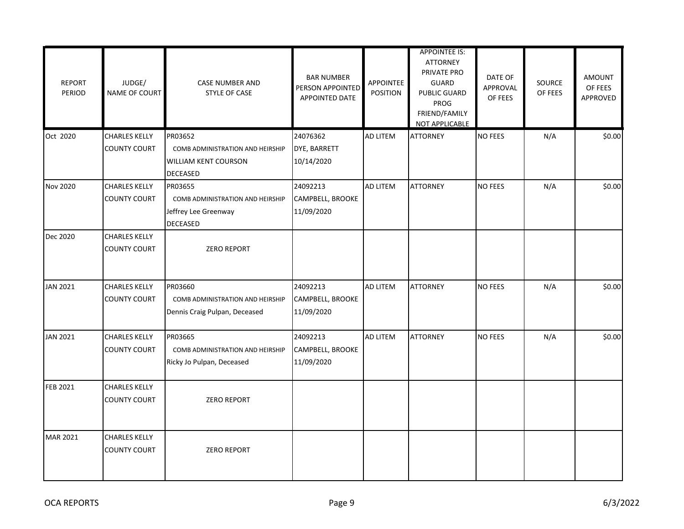| <b>REPORT</b><br>PERIOD | JUDGE/<br>NAME OF COURT                     | <b>CASE NUMBER AND</b><br><b>STYLE OF CASE</b>                                                | <b>BAR NUMBER</b><br>PERSON APPOINTED<br>APPOINTED DATE | APPOINTEE<br><b>POSITION</b> | <b>APPOINTEE IS:</b><br><b>ATTORNEY</b><br>PRIVATE PRO<br><b>GUARD</b><br><b>PUBLIC GUARD</b><br>PROG<br>FRIEND/FAMILY<br>NOT APPLICABLE | DATE OF<br>APPROVAL<br>OF FEES | SOURCE<br>OF FEES | <b>AMOUNT</b><br>OF FEES<br>APPROVED |
|-------------------------|---------------------------------------------|-----------------------------------------------------------------------------------------------|---------------------------------------------------------|------------------------------|------------------------------------------------------------------------------------------------------------------------------------------|--------------------------------|-------------------|--------------------------------------|
| Oct 2020                | <b>CHARLES KELLY</b><br><b>COUNTY COURT</b> | PR03652<br>COMB ADMINISTRATION AND HEIRSHIP<br><b>WILLIAM KENT COURSON</b><br><b>DECEASED</b> | 24076362<br>DYE, BARRETT<br>10/14/2020                  | AD LITEM                     | <b>ATTORNEY</b>                                                                                                                          | <b>NO FEES</b>                 | N/A               | \$0.00                               |
| <b>Nov 2020</b>         | <b>CHARLES KELLY</b><br><b>COUNTY COURT</b> | PR03655<br>COMB ADMINISTRATION AND HEIRSHIP<br>Jeffrey Lee Greenway<br><b>DECEASED</b>        | 24092213<br>CAMPBELL, BROOKE<br>11/09/2020              | AD LITEM                     | <b>ATTORNEY</b>                                                                                                                          | <b>NO FEES</b>                 | N/A               | \$0.00                               |
| Dec 2020                | <b>CHARLES KELLY</b><br><b>COUNTY COURT</b> | <b>ZERO REPORT</b>                                                                            |                                                         |                              |                                                                                                                                          |                                |                   |                                      |
| <b>JAN 2021</b>         | <b>CHARLES KELLY</b><br><b>COUNTY COURT</b> | PR03660<br>COMB ADMINISTRATION AND HEIRSHIP<br>Dennis Craig Pulpan, Deceased                  | 24092213<br>CAMPBELL, BROOKE<br>11/09/2020              | AD LITEM                     | <b>ATTORNEY</b>                                                                                                                          | <b>NO FEES</b>                 | N/A               | \$0.00                               |
| <b>JAN 2021</b>         | <b>CHARLES KELLY</b><br><b>COUNTY COURT</b> | PR03665<br>COMB ADMINISTRATION AND HEIRSHIP<br>Ricky Jo Pulpan, Deceased                      | 24092213<br>CAMPBELL, BROOKE<br>11/09/2020              | AD LITEM                     | <b>ATTORNEY</b>                                                                                                                          | <b>NO FEES</b>                 | N/A               | \$0.00                               |
| <b>FEB 2021</b>         | <b>CHARLES KELLY</b><br><b>COUNTY COURT</b> | <b>ZERO REPORT</b>                                                                            |                                                         |                              |                                                                                                                                          |                                |                   |                                      |
| <b>MAR 2021</b>         | <b>CHARLES KELLY</b><br><b>COUNTY COURT</b> | <b>ZERO REPORT</b>                                                                            |                                                         |                              |                                                                                                                                          |                                |                   |                                      |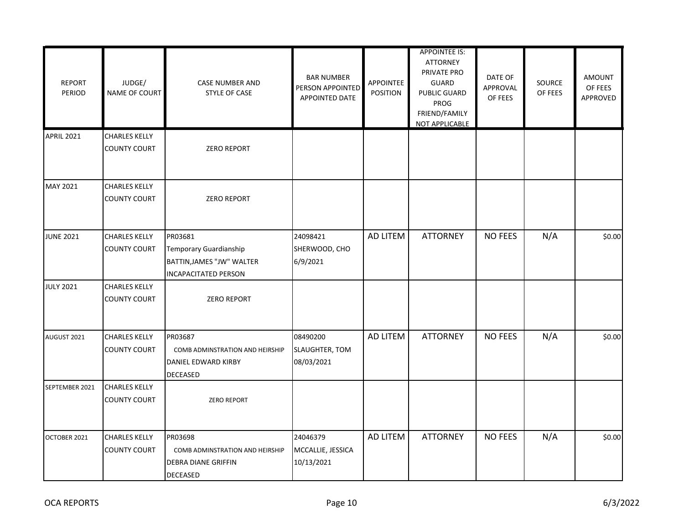| <b>REPORT</b><br><b>PERIOD</b> | JUDGE/<br>NAME OF COURT                     | CASE NUMBER AND<br><b>STYLE OF CASE</b>                                                              | <b>BAR NUMBER</b><br>PERSON APPOINTED<br>APPOINTED DATE | APPOINTEE<br><b>POSITION</b> | <b>APPOINTEE IS:</b><br><b>ATTORNEY</b><br>PRIVATE PRO<br><b>GUARD</b><br><b>PUBLIC GUARD</b><br>PROG<br>FRIEND/FAMILY<br>NOT APPLICABLE | DATE OF<br>APPROVAL<br>OF FEES | SOURCE<br>OF FEES | <b>AMOUNT</b><br>OF FEES<br>APPROVED |
|--------------------------------|---------------------------------------------|------------------------------------------------------------------------------------------------------|---------------------------------------------------------|------------------------------|------------------------------------------------------------------------------------------------------------------------------------------|--------------------------------|-------------------|--------------------------------------|
| <b>APRIL 2021</b>              | <b>CHARLES KELLY</b><br><b>COUNTY COURT</b> | <b>ZERO REPORT</b>                                                                                   |                                                         |                              |                                                                                                                                          |                                |                   |                                      |
| MAY 2021                       | <b>CHARLES KELLY</b><br><b>COUNTY COURT</b> | <b>ZERO REPORT</b>                                                                                   |                                                         |                              |                                                                                                                                          |                                |                   |                                      |
| <b>JUNE 2021</b>               | <b>CHARLES KELLY</b><br><b>COUNTY COURT</b> | PR03681<br><b>Temporary Guardianship</b><br>BATTIN, JAMES "JW" WALTER<br><b>INCAPACITATED PERSON</b> | 24098421<br>SHERWOOD, CHO<br>6/9/2021                   | AD LITEM                     | <b>ATTORNEY</b>                                                                                                                          | <b>NO FEES</b>                 | N/A               | \$0.00                               |
| <b>JULY 2021</b>               | <b>CHARLES KELLY</b><br><b>COUNTY COURT</b> | <b>ZERO REPORT</b>                                                                                   |                                                         |                              |                                                                                                                                          |                                |                   |                                      |
| AUGUST 2021                    | <b>CHARLES KELLY</b><br><b>COUNTY COURT</b> | PR03687<br>COMB ADMINSTRATION AND HEIRSHIP<br>DANIEL EDWARD KIRBY<br><b>DECEASED</b>                 | 08490200<br>SLAUGHTER, TOM<br>08/03/2021                | AD LITEM                     | <b>ATTORNEY</b>                                                                                                                          | <b>NO FEES</b>                 | N/A               | \$0.00                               |
| SEPTEMBER 2021                 | <b>CHARLES KELLY</b><br><b>COUNTY COURT</b> | <b>ZERO REPORT</b>                                                                                   |                                                         |                              |                                                                                                                                          |                                |                   |                                      |
| OCTOBER 2021                   | <b>CHARLES KELLY</b><br><b>COUNTY COURT</b> | PR03698<br>COMB ADMINSTRATION AND HEIRSHIP<br><b>DEBRA DIANE GRIFFIN</b><br>DECEASED                 | 24046379<br>MCCALLIE, JESSICA<br>10/13/2021             | AD LITEM                     | <b>ATTORNEY</b>                                                                                                                          | <b>NO FEES</b>                 | N/A               | \$0.00                               |